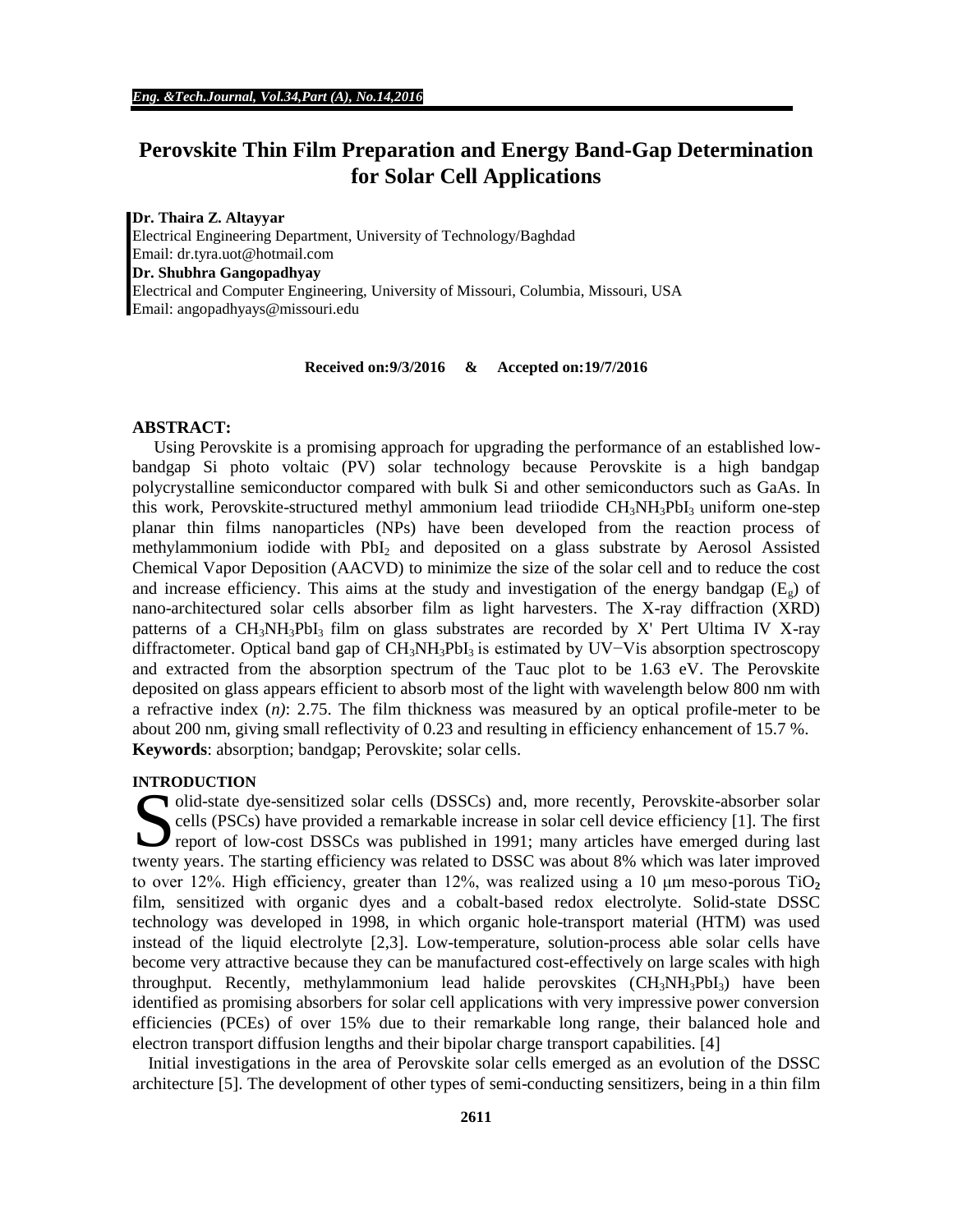# **Perovskite Thin Film Preparation and Energy Band-Gap Determination for Solar Cell Applications**

**Dr. Thaira Z. Altayyar**  Electrical Engineering Department, University of Technology/Baghdad Email: dr.tyra.uot@hotmail.com **Dr. Shubhra Gangopadhyay** Electrical and Computer Engineering, University of Missouri, Columbia, Missouri, USA Email: angopadhyays@missouri.edu

**Received on:9/3/2016 & Accepted on:19/7/2016**

## **ABSTRACT:**

Using Perovskite is a promising approach for upgrading the performance of an established lowbandgap Si photo voltaic (PV) solar technology because Perovskite is a high bandgap polycrystalline semiconductor compared with bulk Si and other semiconductors such as GaAs. In this work, Perovskite-structured methyl ammonium lead triiodide  $CH<sub>3</sub>NH<sub>3</sub>PbI<sub>3</sub>$  uniform one-step planar thin films nanoparticles (NPs) have been developed from the reaction process of methylammonium iodide with  $PbI<sub>2</sub>$  and deposited on a glass substrate by Aerosol Assisted Chemical Vapor Deposition (AACVD) to minimize the size of the solar cell and to reduce the cost and increase efficiency. This aims at the study and investigation of the energy bandgap  $(E_g)$  of nano-architectured solar cells absorber film as light harvesters. The X-ray diffraction (XRD) patterns of a  $CH_3NH_3PbI_3$  film on glass substrates are recorded by X' Pert Ultima IV X-ray diffractometer. Optical band gap of CH3NH3PbI3 is estimated by UV−Vis absorption spectroscopy and extracted from the absorption spectrum of the Tauc plot to be 1.63 eV. The Perovskite deposited on glass appears efficient to absorb most of the light with wavelength below 800 nm with a refractive index (*n)*: 2.75. The film thickness was measured by an optical profile-meter to be about 200 nm, giving small reflectivity of 0.23 and resulting in efficiency enhancement of 15.7 %. **Keywords**: absorption; bandgap; Perovskite; solar cells.

## **INTRODUCTION**

olid-state dye-sensitized solar cells (DSSCs) and, more recently, Perovskite-absorber solar cells (PSCs) have provided a remarkable increase in solar cell device efficiency [1]. The first olid-state dye-sensitized solar cells (DSSCs) and, more recently, Perovskite-absorber solar<br>cells (PSCs) have provided a remarkable increase in solar cell device efficiency [1]. The first<br>report of low-cost DSSCs was publi twenty years. The starting efficiency was related to DSSC was about 8% which was later improved to over 12%. High efficiency, greater than  $12\%$ , was realized using a 10  $\mu$ m meso-porous TiO<sub>2</sub> film, sensitized with organic dyes and a cobalt-based redox electrolyte. Solid-state DSSC technology was developed in 1998, in which organic hole-transport material (HTM) was used instead of the liquid electrolyte [2,3]. Low-temperature, solution-process able solar cells have become very attractive because they can be manufactured cost-effectively on large scales with high throughput. Recently, methylammonium lead halide perovskites  $(CH_3NH_3PbI_3)$  have been identified as promising absorbers for solar cell applications with very impressive power conversion efficiencies (PCEs) of over 15% due to their remarkable long range, their balanced hole and electron transport diffusion lengths and their bipolar charge transport capabilities. [4]

Initial investigations in the area of Perovskite solar cells emerged as an evolution of the DSSC architecture [5]. The development of other types of semi-conducting sensitizers, being in a thin film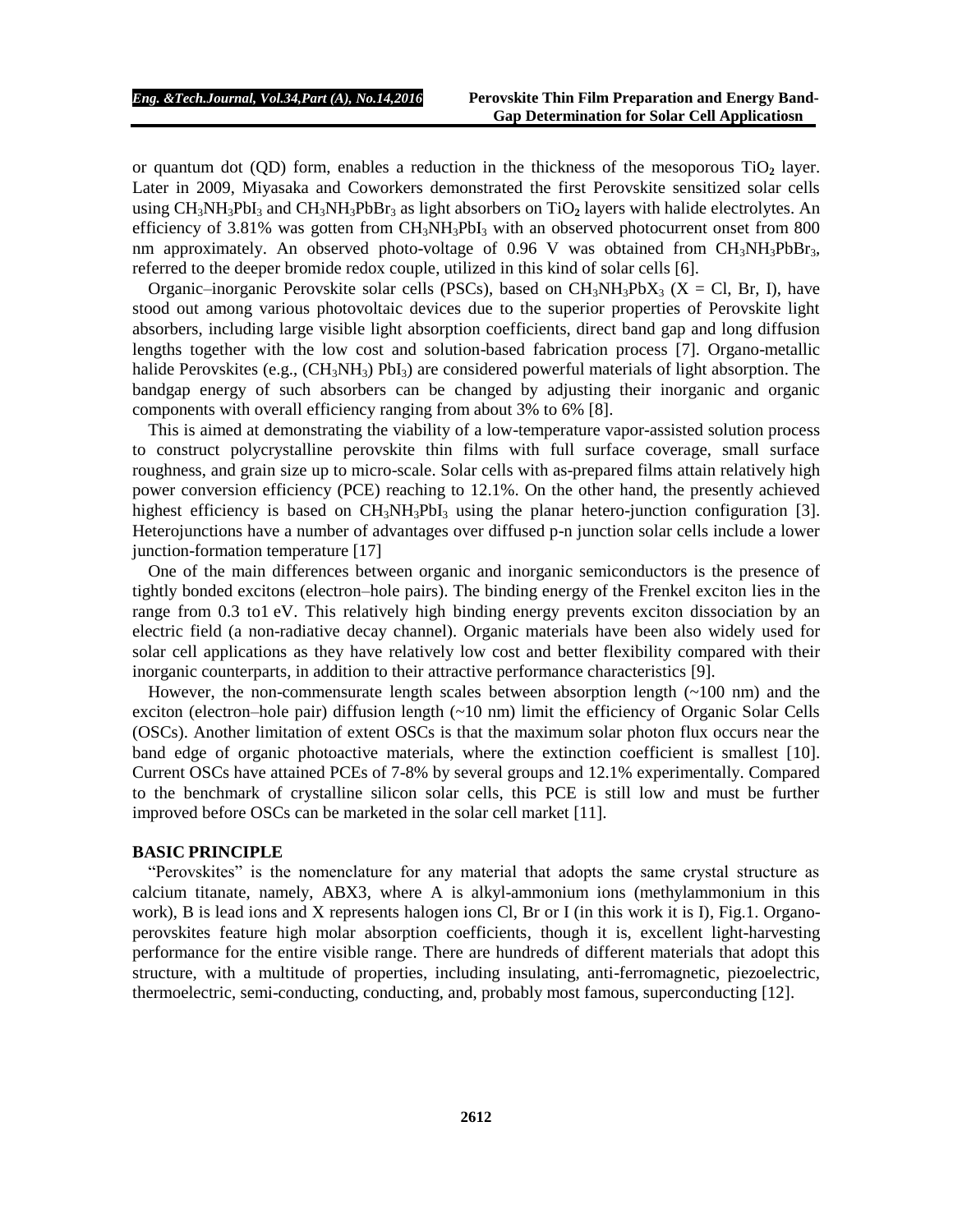or quantum dot (QD) form, enables a reduction in the thickness of the mesoporous TiO**<sup>2</sup>** layer. Later in 2009, Miyasaka and Coworkers demonstrated the first Perovskite sensitized solar cells using  $CH_3NH_3PbI_3$  and  $CH_3NH_3PbBr_3$  as light absorbers on TiO<sub>2</sub> layers with halide electrolytes. An efficiency of 3.81% was gotten from  $CH_3NH_3PbI_3$  with an observed photocurrent onset from 800 nm approximately. An observed photo-voltage of 0.96 V was obtained from  $CH_3NH_3PbBr_3$ , referred to the deeper bromide redox couple, utilized in this kind of solar cells [6].

Organic–inorganic Perovskite solar cells (PSCs), based on  $CH_3NH_3PbX_3$  (X = Cl, Br, I), have stood out among various photovoltaic devices due to the superior properties of Perovskite light absorbers, including large visible light absorption coefficients, direct band gap and long diffusion lengths together with the low cost and solution-based fabrication process [7]. Organo-metallic halide Perovskites (e.g.,  $(CH_3NH_3)$  PbI<sub>3</sub>) are considered powerful materials of light absorption. The bandgap energy of such absorbers can be changed by adjusting their inorganic and organic components with overall efficiency ranging from about 3% to 6% [8].

This is aimed at demonstrating the viability of a low-temperature vapor-assisted solution process to construct polycrystalline perovskite thin films with full surface coverage, small surface roughness, and grain size up to micro-scale. Solar cells with as-prepared films attain relatively high power conversion efficiency (PCE) reaching to 12.1%. On the other hand, the presently achieved highest efficiency is based on  $CH_3NH_3PbI_3$  using the planar hetero-junction configuration [3]. Heterojunctions have a number of advantages over diffused p-n junction solar cells include a lower junction-formation temperature [17]

One of the main differences between organic and inorganic semiconductors is the presence of tightly bonded excitons (electron–hole pairs). The binding energy of the Frenkel exciton lies in the range from 0.3 to1 eV. This relatively high binding energy prevents exciton dissociation by an electric field (a non-radiative decay channel). Organic materials have been also widely used for solar cell applications as they have relatively low cost and better flexibility compared with their inorganic counterparts, in addition to their attractive performance characteristics [9].

However, the non-commensurate length scales between absorption length (~100 nm) and the exciton (electron–hole pair) diffusion length  $(\sim 10 \text{ nm})$  limit the efficiency of Organic Solar Cells (OSCs). Another limitation of extent OSCs is that the maximum solar photon flux occurs near the band edge of organic photoactive materials, where the extinction coefficient is smallest [10]. Current OSCs have attained PCEs of 7-8% by several groups and 12.1% experimentally. Compared to the benchmark of crystalline silicon solar cells, this PCE is still low and must be further improved before OSCs can be marketed in the solar cell market [11].

#### **BASIC PRINCIPLE**

"Perovskites" is the nomenclature for any material that adopts the same crystal structure as calcium titanate, namely, ABX3, where A is alkyl-ammonium ions (methylammonium in this work), B is lead ions and X represents halogen ions Cl, Br or I (in this work it is I), Fig.1. Organoperovskites feature high molar absorption coefficients, though it is, excellent light-harvesting performance for the entire visible range. There are hundreds of different materials that adopt this structure, with a multitude of properties, including insulating, anti-ferromagnetic, piezoelectric, thermoelectric, semi-conducting, conducting, and, probably most famous, superconducting [12].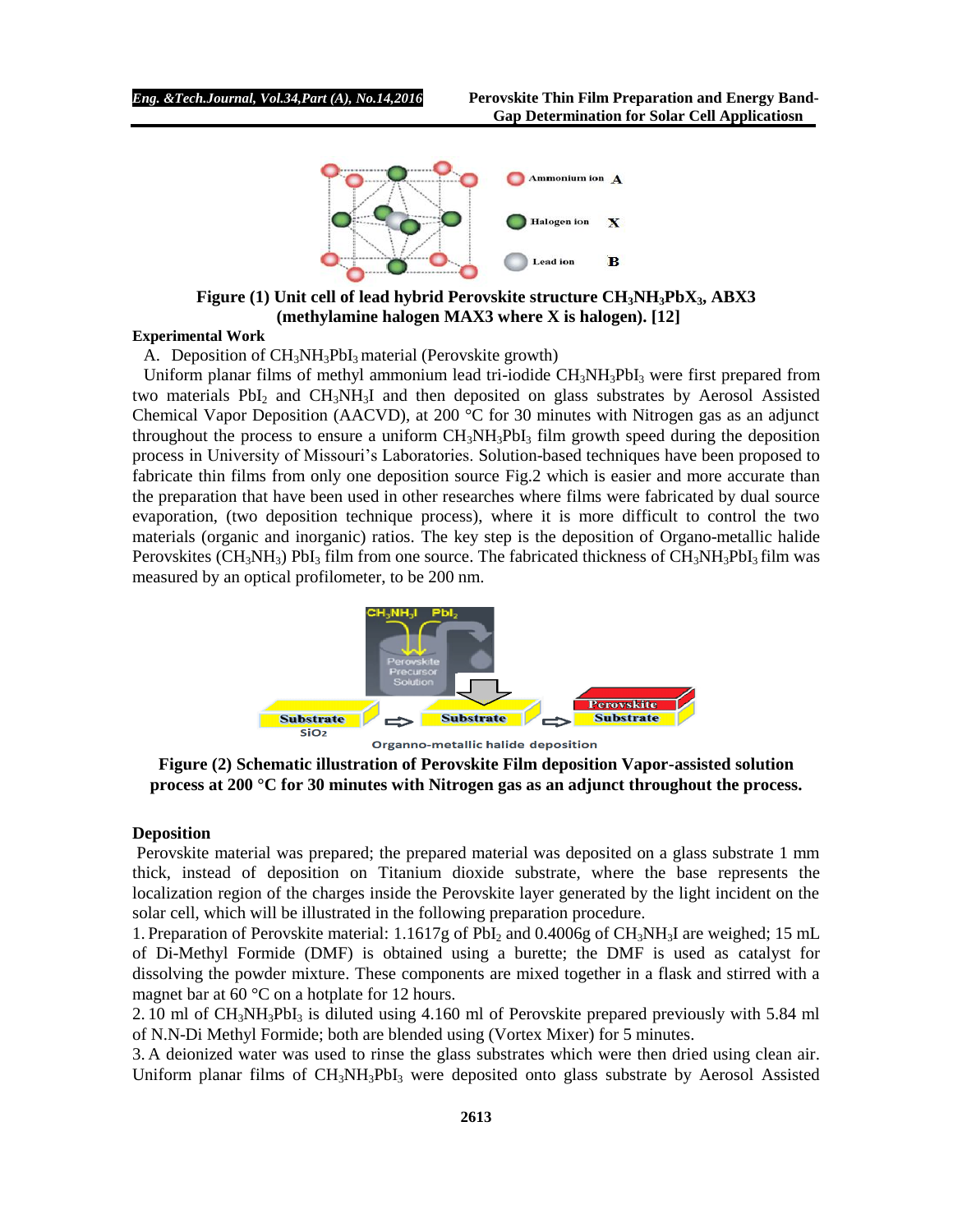

**Figure (1) Unit cell of lead hybrid Perovskite structure CH3NH3PbX3, ABX3 (methylamine halogen MAX3 where X is halogen). [12]**

#### **Experimental Work**

A. Deposition of  $CH_3NH_3PbI_3$  material (Perovskite growth)

Uniform planar films of methyl ammonium lead tri-iodide  $CH_3NH_3PbI_3$  were first prepared from two materials PbI<sub>2</sub> and CH<sub>3</sub>NH<sub>3</sub>I and then deposited on glass substrates by Aerosol Assisted Chemical Vapor Deposition (AACVD), at 200 °C for 30 minutes with Nitrogen gas as an adjunct throughout the process to ensure a uniform  $CH_3NH_3PbI_3$  film growth speed during the deposition process in University of Missouri's Laboratories. Solution-based techniques have been proposed to fabricate thin films from only one deposition source Fig.2 which is easier and more accurate than the preparation that have been used in other researches where films were fabricated by dual source evaporation, (two deposition technique process), where it is more difficult to control the two materials (organic and inorganic) ratios. The key step is the deposition of Organo-metallic halide Perovskites ( $CH_3NH_3$ ) PbI<sub>3</sub> film from one source. The fabricated thickness of  $CH_3NH_3PbI_3$  film was measured by an optical profilometer, to be 200 nm.



Organno-metallic halide deposition

**Figure (2) Schematic illustration of Perovskite Film deposition Vapor-assisted solution process at 200 °C for 30 minutes with Nitrogen gas as an adjunct throughout the process.**

## **Deposition**

Perovskite material was prepared; the prepared material was deposited on a glass substrate 1 mm thick, instead of deposition on Titanium dioxide substrate, where the base represents the localization region of the charges inside the Perovskite layer generated by the light incident on the solar cell, which will be illustrated in the following preparation procedure.

1. Preparation of Perovskite material:  $1.1617g$  of PbI<sub>2</sub> and  $0.4006g$  of CH<sub>3</sub>NH<sub>3</sub>I are weighed; 15 mL of Di-Methyl Formide (DMF) is obtained using a burette; the DMF is used as catalyst for dissolving the powder mixture. These components are mixed together in a flask and stirred with a magnet bar at 60 °C on a hotplate for 12 hours.

2. 10 ml of CH<sub>3</sub>NH<sub>3</sub>PbI<sub>3</sub> is diluted using 4.160 ml of Perovskite prepared previously with 5.84 ml of N.N-Di Methyl Formide; both are blended using (Vortex Mixer) for 5 minutes.

3. A deionized water was used to rinse the glass substrates which were then dried using clean air. Uniform planar films of CH<sub>3</sub>NH<sub>3</sub>PbI<sub>3</sub> were deposited onto glass substrate by Aerosol Assisted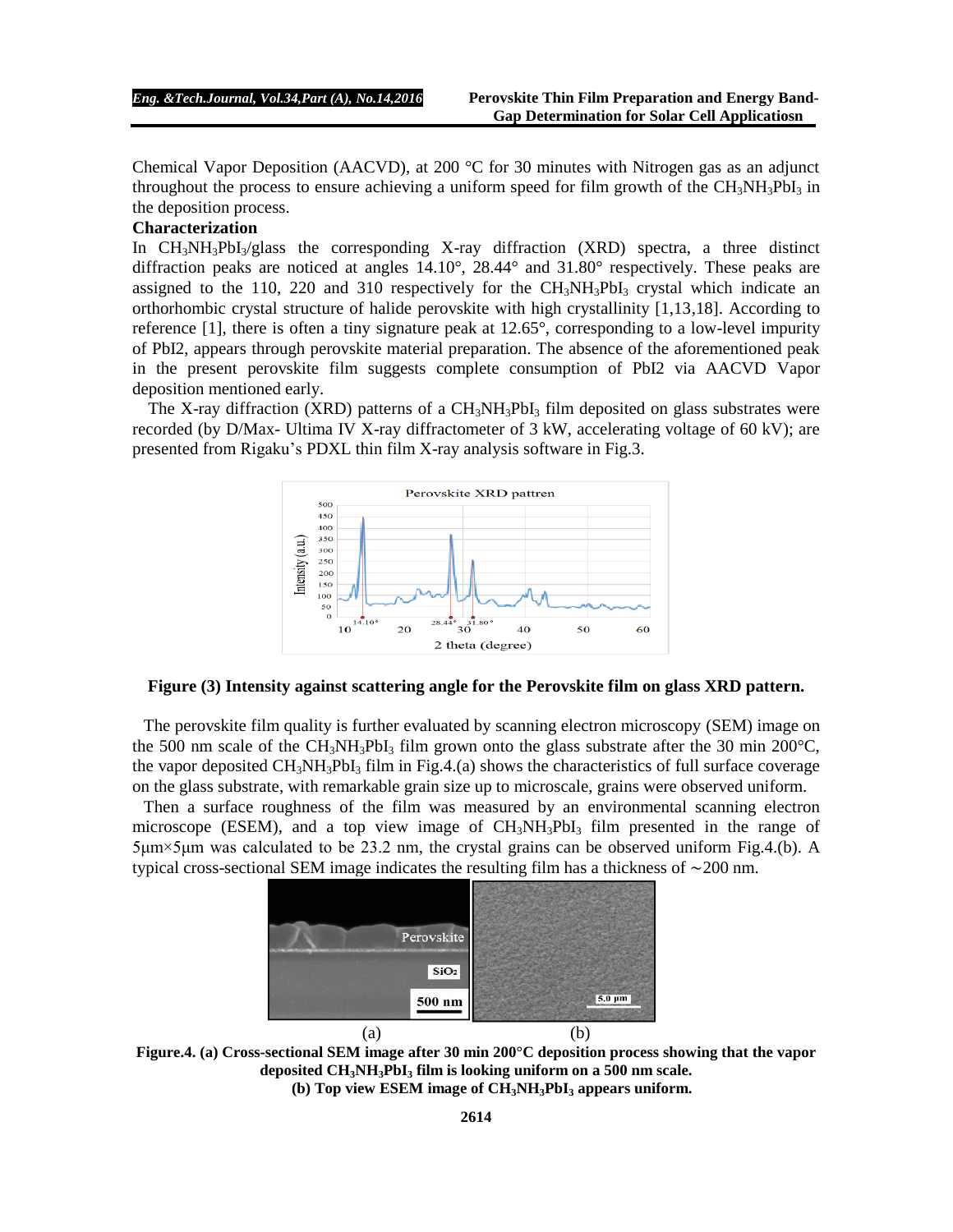Chemical Vapor Deposition (AACVD), at 200 °C for 30 minutes with Nitrogen gas as an adjunct throughout the process to ensure achieving a uniform speed for film growth of the  $CH_3NH_3PbI_3$  in the deposition process.

## **Characterization**

In CH<sub>3</sub>NH<sub>3</sub>PbI<sub>3</sub>/glass the corresponding X-ray diffraction (XRD) spectra, a three distinct diffraction peaks are noticed at angles  $14.10^{\circ}$ ,  $28.44^{\circ}$  and  $31.80^{\circ}$  respectively. These peaks are assigned to the 110, 220 and 310 respectively for the  $CH<sub>3</sub>NH<sub>3</sub>PbI<sub>3</sub>$  crystal which indicate an orthorhombic crystal structure of halide perovskite with high crystallinity [1,13,18]. According to reference [1], there is often a tiny signature peak at 12.65°, corresponding to a low-level impurity of PbI2, appears through perovskite material preparation. The absence of the aforementioned peak in the present perovskite film suggests complete consumption of PbI2 via AACVD Vapor deposition mentioned early.

The X-ray diffraction (XRD) patterns of a  $CH_3NH_3PbI_3$  film deposited on glass substrates were recorded (by D/Max- Ultima IV X-ray diffractometer of 3 kW, accelerating voltage of 60 kV); are presented from Rigaku's PDXL thin film X-ray analysis software in Fig.3.



#### **Figure (3) Intensity against scattering angle for the Perovskite film on glass XRD pattern.**

The perovskite film quality is further evaluated by scanning electron microscopy (SEM) image on the 500 nm scale of the CH<sub>3</sub>NH<sub>3</sub>PbI<sub>3</sub> film grown onto the glass substrate after the 30 min 200 °C, the vapor deposited  $CH_3NH_3PbI_3$  film in Fig.4.(a) shows the characteristics of full surface coverage on the glass substrate, with remarkable grain size up to microscale, grains were observed uniform.

Then a surface roughness of the film was measured by an environmental scanning electron microscope (ESEM), and a top view image of  $CH<sub>3</sub>NH<sub>3</sub>PbI<sub>3</sub>$  film presented in the range of 5μm×5μm was calculated to be 23.2 nm, the crystal grains can be observed uniform Fig.4.(b). A typical cross-sectional SEM image indicates the resulting film has a thickness of ∼200 nm.



**Figure.4. (a) Cross-sectional SEM image after 30 min 200°C deposition process showing that the vapor deposited CH3NH3PbI<sup>3</sup> film is looking uniform on a 500 nm scale. (b) Top view ESEM image of CH3NH3PbI<sup>3</sup> appears uniform.**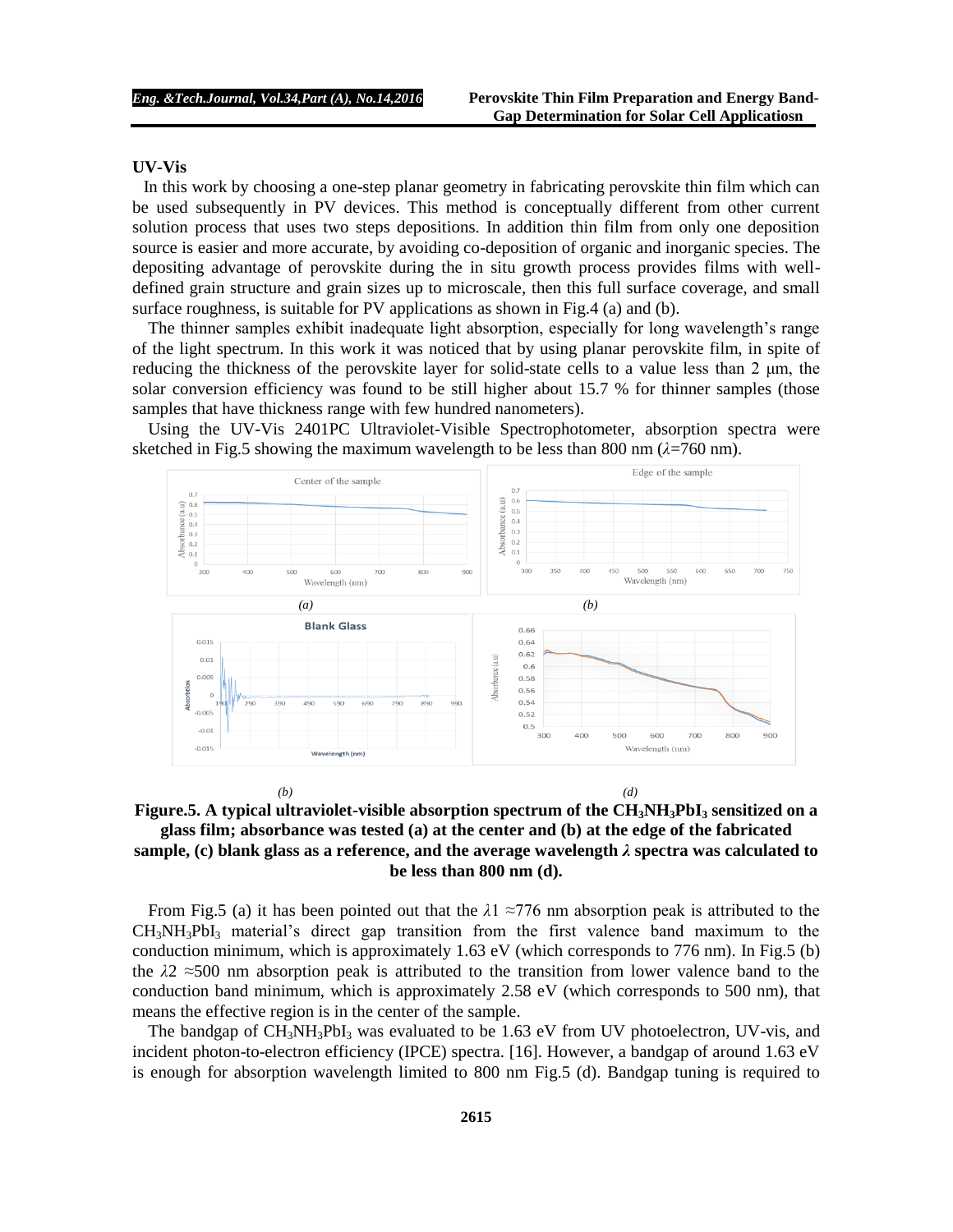#### **UV-Vis**

In this work by choosing a one-step planar geometry in fabricating perovskite thin film which can be used subsequently in PV devices. This method is conceptually different from other current solution process that uses two steps depositions. In addition thin film from only one deposition source is easier and more accurate, by avoiding co-deposition of organic and inorganic species. The depositing advantage of perovskite during the in situ growth process provides films with welldefined grain structure and grain sizes up to microscale, then this full surface coverage, and small surface roughness, is suitable for PV applications as shown in Fig.4 (a) and (b).

The thinner samples exhibit inadequate light absorption, especially for long wavelength's range of the light spectrum. In this work it was noticed that by using planar perovskite film, in spite of reducing the thickness of the perovskite layer for solid-state cells to a value less than 2 μm, the solar conversion efficiency was found to be still higher about 15.7 % for thinner samples (those samples that have thickness range with few hundred nanometers).

Using the UV-Vis 2401PC Ultraviolet-Visible Spectrophotometer, absorption spectra were sketched in Fig.5 showing the maximum wavelength to be less than 800 nm  $(\lambda = 760 \text{ nm})$ .





From Fig.5 (a) it has been pointed out that the *λ*1 ≈776 nm absorption peak is attributed to the  $CH_3NH_3PbI_3$  material's direct gap transition from the first valence band maximum to the conduction minimum, which is approximately 1.63 eV (which corresponds to 776 nm). In Fig.5 (b) the *λ*2 ≈500 nm absorption peak is attributed to the transition from lower valence band to the conduction band minimum, which is approximately 2.58 eV (which corresponds to 500 nm), that means the effective region is in the center of the sample.

The bandgap of  $CH_3NH_3PbI_3$  was evaluated to be 1.63 eV from UV photoelectron, UV-vis, and incident photon-to-electron efficiency (IPCE) spectra. [16]. However, a bandgap of around 1.63 eV is enough for absorption wavelength limited to 800 nm Fig.5 (d). Bandgap tuning is required to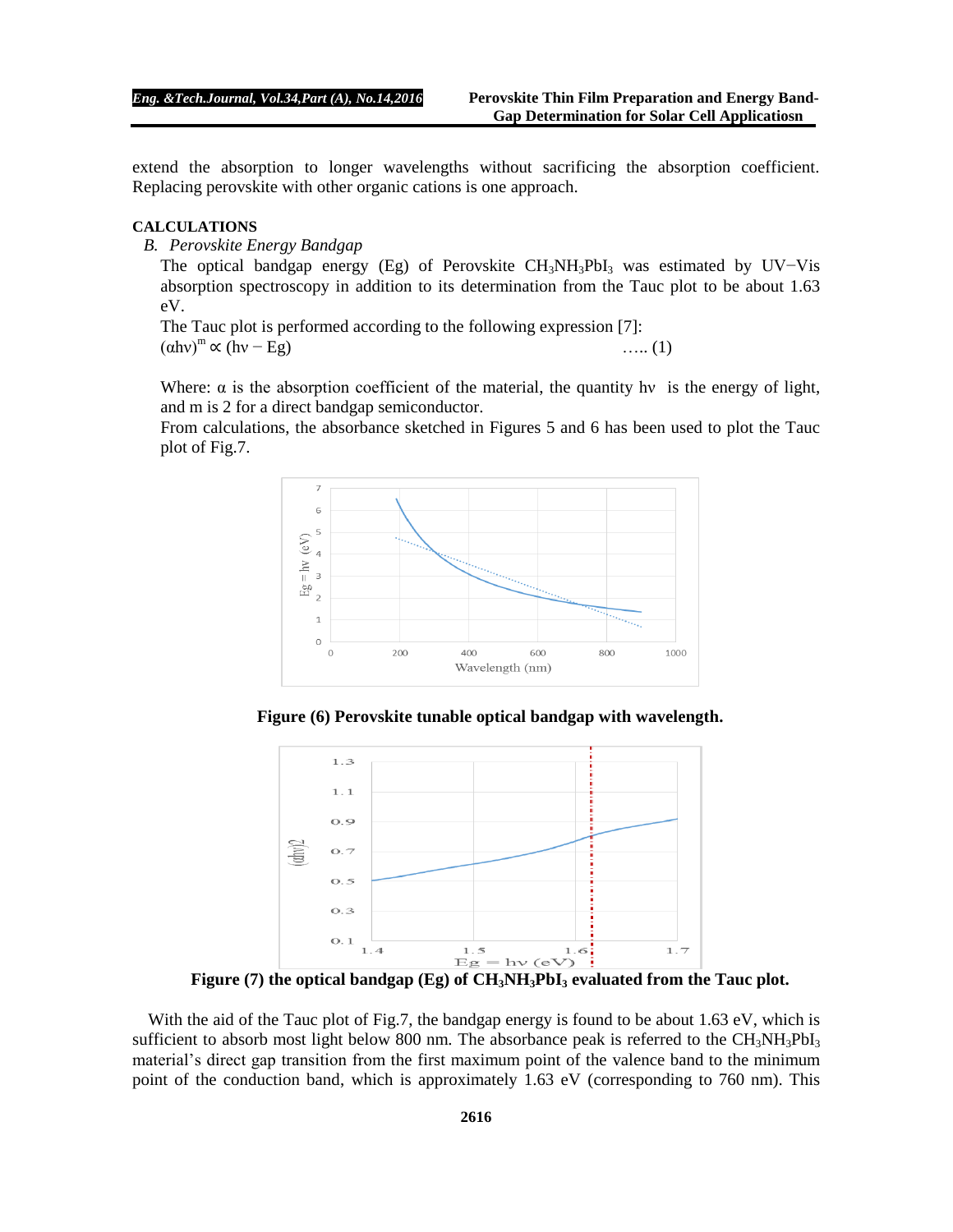extend the absorption to longer wavelengths without sacrificing the absorption coefficient. Replacing perovskite with other organic cations is one approach.

## **CALCULATIONS**

*B. Perovskite Energy Bandgap*

The optical bandgap energy (Eg) of Perovskite CH<sub>3</sub>NH<sub>3</sub>PbI<sub>3</sub> was estimated by UV-Vis absorption spectroscopy in addition to its determination from the Tauc plot to be about 1.63 eV.

The Tauc plot is performed according to the following expression [7]:  $(\text{div})^m \propto (\text{hv} - \text{Eg})$  ….. (1)

Where:  $\alpha$  is the absorption coefficient of the material, the quantity hv is the energy of light, and m is 2 for a direct bandgap semiconductor.

From calculations, the absorbance sketched in Figures 5 and 6 has been used to plot the Tauc plot of Fig.7.



**Figure (6) Perovskite tunable optical bandgap with wavelength.**



**Figure (7) the optical bandgap (Eg) of CH3NH3PbI<sup>3</sup> evaluated from the Tauc plot.**

With the aid of the Tauc plot of Fig.7, the bandgap energy is found to be about 1.63 eV, which is sufficient to absorb most light below 800 nm. The absorbance peak is referred to the  $CH_3NH_3PbI_3$ material's direct gap transition from the first maximum point of the valence band to the minimum point of the conduction band, which is approximately 1.63 eV (corresponding to 760 nm). This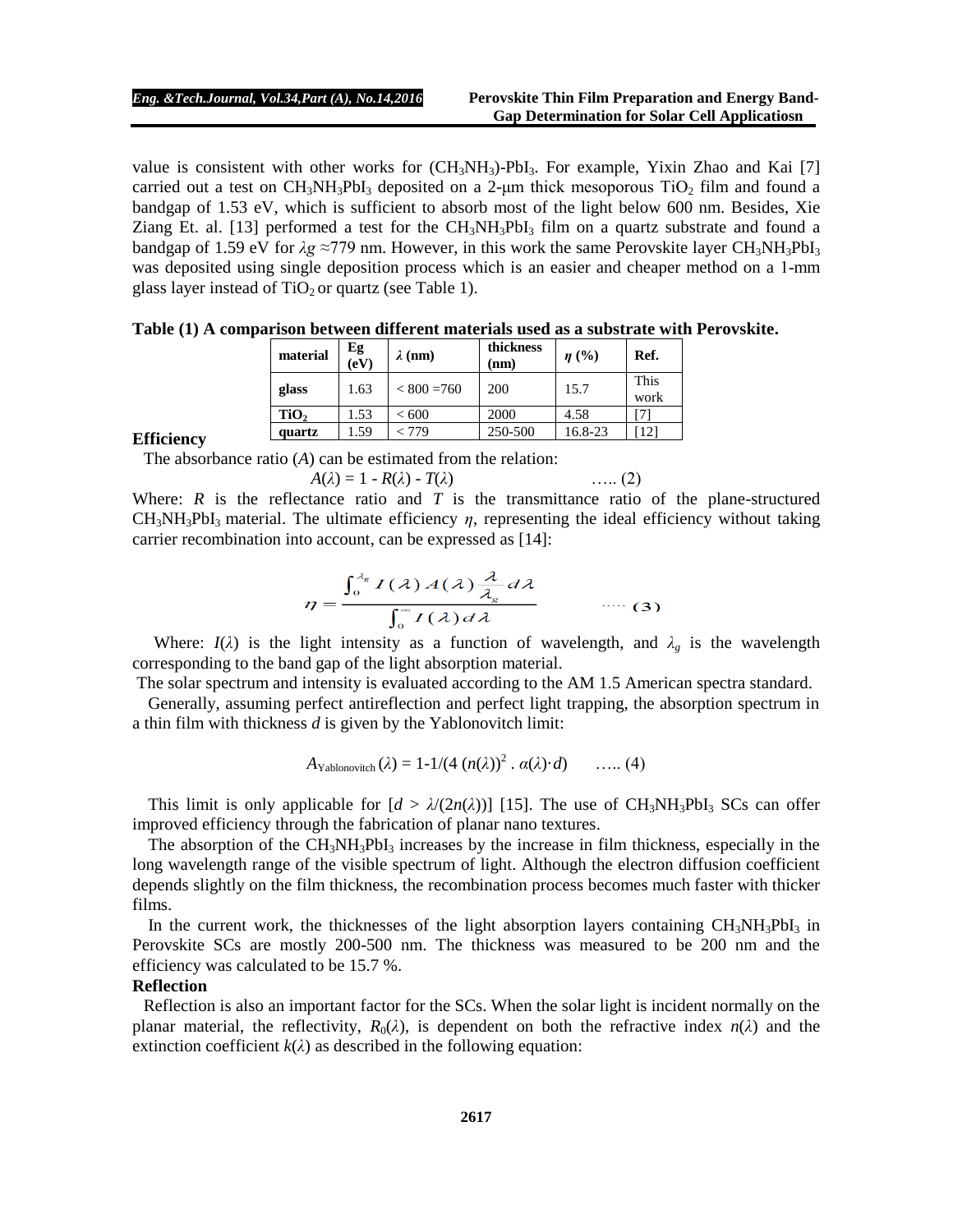value is consistent with other works for  $(CH_3NH_3)$ -PbI<sub>3</sub>. For example, Yixin Zhao and Kai [7] carried out a test on  $CH_3NH_3PbI_3$  deposited on a 2-µm thick mesoporous  $TiO_2$  film and found a bandgap of 1.53 eV, which is sufficient to absorb most of the light below 600 nm. Besides, Xie Ziang Et. al. [13] performed a test for the  $CH_3NH_3PbI_3$  film on a quartz substrate and found a bandgap of 1.59 eV for  $λg ≈779$  nm. However, in this work the same Perovskite layer CH<sub>3</sub>NH<sub>3</sub>PbI<sub>3</sub> was deposited using single deposition process which is an easier and cheaper method on a 1-mm glass layer instead of  $TiO<sub>2</sub>$  or quartz (see Table 1).

| Table (1) A comparison between different materials used as a substrate with Perovskite. |  |  |  |  |  |  |  |  |  |  |  |  |  |  |  |  |
|-----------------------------------------------------------------------------------------|--|--|--|--|--|--|--|--|--|--|--|--|--|--|--|--|
|-----------------------------------------------------------------------------------------|--|--|--|--|--|--|--|--|--|--|--|--|--|--|--|--|

| material         | $Eg$<br>(eV) | $\lambda$ (nm) | thickness<br>(nm) | $\eta$ (%) | Ref.         |
|------------------|--------------|----------------|-------------------|------------|--------------|
| glass            | 1.63         | $< 800 = 760$  | 200               | 15.7       | This<br>work |
| TiO <sub>2</sub> | 1.53         | ${}< 600$      | 2000              | 4.58       |              |
| quartz           | .59          | - 779          | 250-500           | 16.8-23    | $12^{\circ}$ |

#### **Efficiency**

The absorbance ratio (*A*) can be estimated from the relation:

$$
A(\lambda) = 1 - R(\lambda) - T(\lambda) \tag{2}
$$

Where:  $R$  is the reflectance ratio and  $T$  is the transmittance ratio of the plane-structured CH3NH3PbI3 material. The ultimate efficiency *η*, representing the ideal efficiency without taking carrier recombination into account, can be expressed as [14]:

$$
\eta = \frac{\int_0^{\lambda_g} I(\lambda) A(\lambda) \frac{\lambda}{\lambda_g} d\lambda}{\int_0^\infty I(\lambda) d\lambda} \qquad \qquad \dots \tag{3}
$$

Where:  $I(\lambda)$  is the light intensity as a function of wavelength, and  $\lambda_g$  is the wavelength corresponding to the band gap of the light absorption material.

The solar spectrum and intensity is evaluated according to the AM 1.5 American spectra standard.

Generally, assuming perfect antireflection and perfect light trapping, the absorption spectrum in a thin film with thickness *d* is given by the Yablonovitch limit:

$$
A_{\text{Yablonovitch}}(\lambda) = 1 - 1/(4 (n(\lambda))^2 \cdot \alpha(\lambda) \cdot d) \quad \ldots (4)
$$

This limit is only applicable for  $[d > \lambda/(2n(\lambda))]$  [15]. The use of CH<sub>3</sub>NH<sub>3</sub>PbI<sub>3</sub> SCs can offer improved efficiency through the fabrication of planar nano textures.

The absorption of the  $CH_3NH_3PbI_3$  increases by the increase in film thickness, especially in the long wavelength range of the visible spectrum of light. Although the electron diffusion coefficient depends slightly on the film thickness, the recombination process becomes much faster with thicker films.

In the current work, the thicknesses of the light absorption layers containing  $CH_3NH_3PbI_3$  in Perovskite SCs are mostly 200-500 nm. The thickness was measured to be 200 nm and the efficiency was calculated to be 15.7 %.

## **Reflection**

Reflection is also an important factor for the SCs. When the solar light is incident normally on the planar material, the reflectivity,  $R_0(\lambda)$ , is dependent on both the refractive index  $n(\lambda)$  and the extinction coefficient  $k(\lambda)$  as described in the following equation: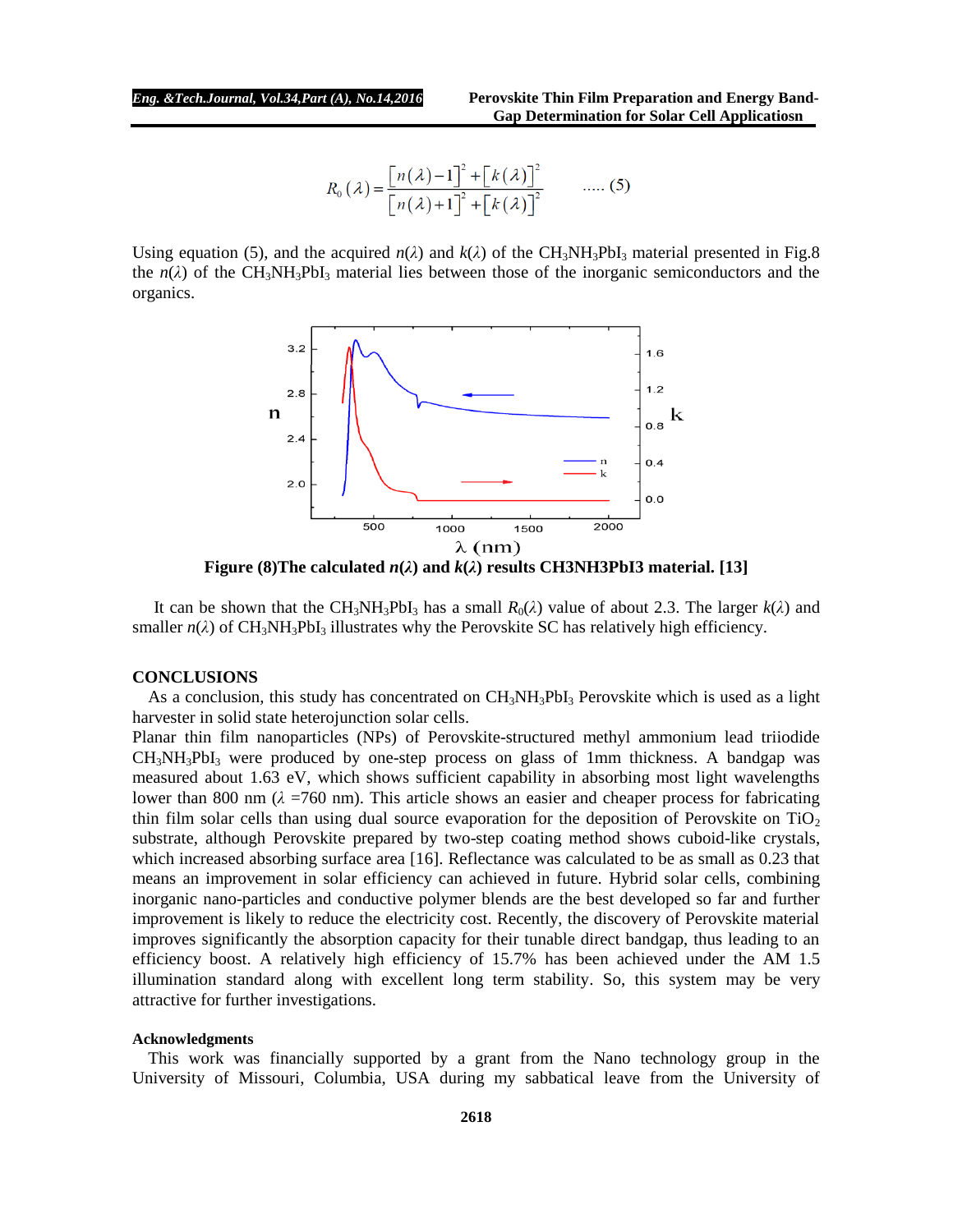$$
R_0(\lambda) = \frac{\left[n(\lambda) - 1\right]^2 + \left[k(\lambda)\right]^2}{\left[n(\lambda) + 1\right]^2 + \left[k(\lambda)\right]^2} \qquad \dots \qquad (5)
$$

Using equation (5), and the acquired  $n(\lambda)$  and  $k(\lambda)$  of the CH<sub>3</sub>NH<sub>3</sub>PbI<sub>3</sub> material presented in Fig.8 the  $n(\lambda)$  of the CH<sub>3</sub>NH<sub>3</sub>PbI<sub>3</sub> material lies between those of the inorganic semiconductors and the organics.



**Figure** (8) The calculated  $n(\lambda)$  and  $k(\lambda)$  results CH3NH3PbI3 material. [13]

It can be shown that the CH<sub>3</sub>NH<sub>3</sub>PbI<sub>3</sub> has a small  $R_0(\lambda)$  value of about 2.3. The larger  $k(\lambda)$  and smaller  $n(\lambda)$  of CH<sub>3</sub>NH<sub>3</sub>PbI<sub>3</sub> illustrates why the Perovskite SC has relatively high efficiency.

### **CONCLUSIONS**

As a conclusion, this study has concentrated on  $CH_3NH_3PbI_3$  Perovskite which is used as a light harvester in solid state heterojunction solar cells.

Planar thin film nanoparticles (NPs) of Perovskite-structured methyl ammonium lead triiodide CH3NH3PbI<sup>3</sup> were produced by one-step process on glass of 1mm thickness. A bandgap was measured about 1.63 eV, which shows sufficient capability in absorbing most light wavelengths lower than 800 nm  $(\lambda = 760 \text{ nm})$ . This article shows an easier and cheaper process for fabricating thin film solar cells than using dual source evaporation for the deposition of Perovskite on  $TiO<sub>2</sub>$ substrate, although Perovskite prepared by two-step coating method shows cuboid-like crystals, which increased absorbing surface area [16]. Reflectance was calculated to be as small as 0.23 that means an improvement in solar efficiency can achieved in future. Hybrid solar cells, combining inorganic nano-particles and conductive polymer blends are the best developed so far and further improvement is likely to reduce the electricity cost. Recently, the discovery of Perovskite material improves significantly the absorption capacity for their tunable direct bandgap, thus leading to an efficiency boost. A relatively high efficiency of 15.7% has been achieved under the AM 1.5 illumination standard along with excellent long term stability. So, this system may be very attractive for further investigations.

#### **Acknowledgments**

This work was financially supported by a grant from the Nano technology group in the University of Missouri, Columbia, USA during my sabbatical leave from the University of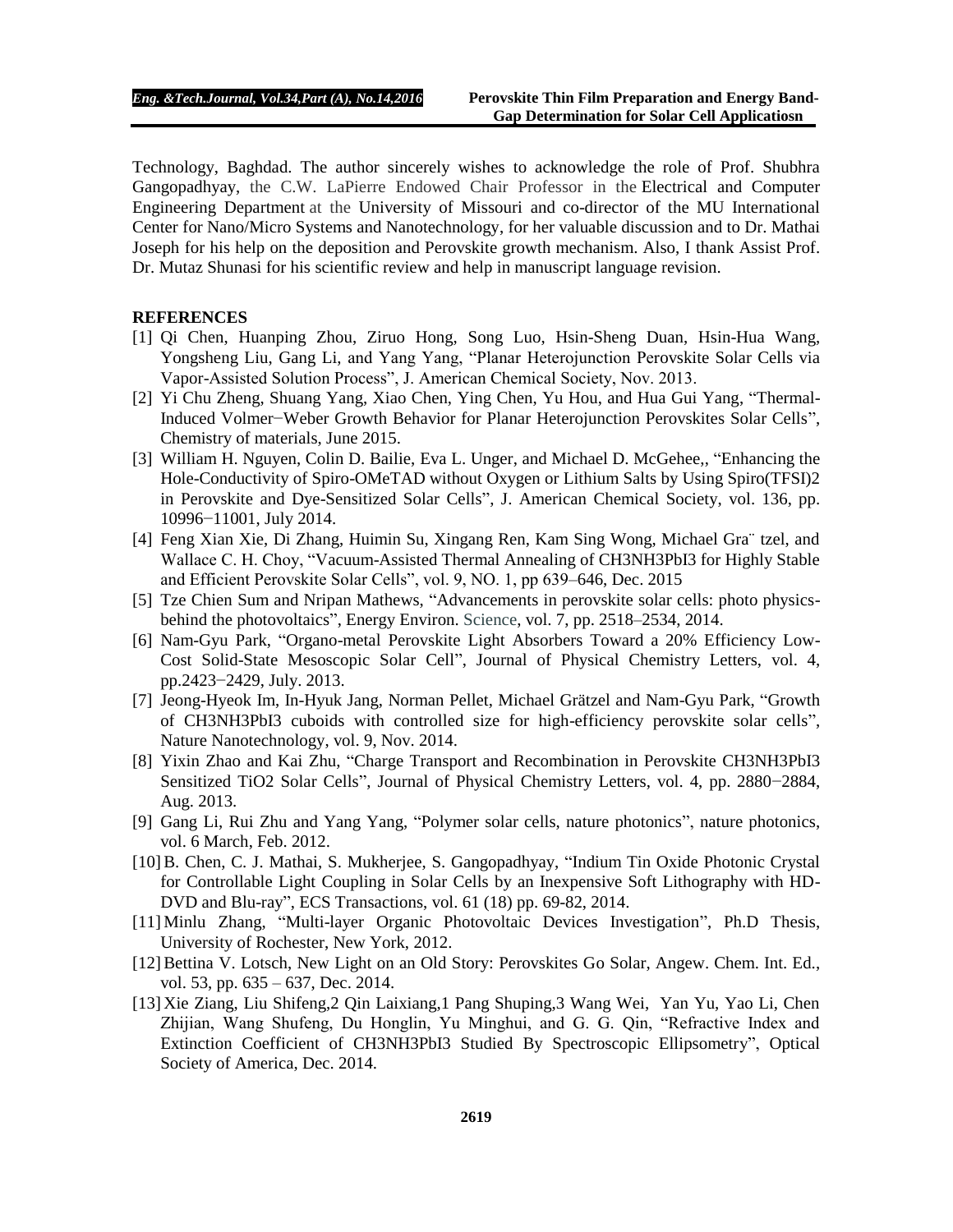Technology, Baghdad. The author sincerely wishes to acknowledge the role of Prof. Shubhra Gangopadhyay, the C.W. LaPierre Endowed Chair Professor in the Electrical and Computer Engineering Department at the University of Missouri and co-director of the MU International Center for Nano/Micro Systems and Nanotechnology, for her valuable discussion and to Dr. Mathai Joseph for his help on the deposition and Perovskite growth mechanism. Also, I thank Assist Prof. Dr. Mutaz Shunasi for his scientific review and help in manuscript language revision.

## **REFERENCES**

- [1] Qi Chen, Huanping Zhou, Ziruo Hong, Song Luo, Hsin-Sheng Duan, Hsin-Hua Wang, Yongsheng Liu, Gang Li, and Yang Yang, "Planar Heterojunction Perovskite Solar Cells via Vapor-Assisted Solution Process", J. American Chemical Society, Nov. 2013.
- [2] Yi Chu Zheng, Shuang Yang, Xiao Chen, Ying Chen, Yu Hou, and Hua Gui Yang, "Thermal-Induced Volmer−Weber Growth Behavior for Planar Heterojunction Perovskites Solar Cells", Chemistry of materials, June 2015.
- [3] William H. Nguyen, Colin D. Bailie, Eva L. Unger, and Michael D. McGehee,, "Enhancing the Hole-Conductivity of Spiro-OMeTAD without Oxygen or Lithium Salts by Using Spiro(TFSI)2 in Perovskite and Dye-Sensitized Solar Cells", J. American Chemical Society, vol. 136, pp. 10996−11001, July 2014.
- [4] Feng Xian Xie, Di Zhang, Huimin Su, Xingang Ren, Kam Sing Wong, Michael Gra¨ tzel, and Wallace C. H. Choy, "Vacuum-Assisted Thermal Annealing of CH3NH3PbI3 for Highly Stable and Efficient Perovskite Solar Cells", vol. 9, NO. 1, pp 639–646, Dec. 2015
- [5] Tze Chien Sum and Nripan Mathews, "Advancements in perovskite solar cells: photo physicsbehind the photovoltaics", Energy Environ. Science, vol. 7, pp. 2518–2534, 2014.
- [6] Nam-Gyu Park, "Organo-metal Perovskite Light Absorbers Toward a 20% Efficiency Low-Cost Solid-State Mesoscopic Solar Cell", Journal of Physical Chemistry Letters, vol. 4, pp.2423−2429, July. 2013.
- [7] Jeong-Hyeok Im, In-Hyuk Jang, Norman Pellet, Michael Grätzel and Nam-Gyu Park, "Growth of CH3NH3PbI3 cuboids with controlled size for high-efficiency perovskite solar cells", Nature Nanotechnology, vol. 9, Nov. 2014.
- [8] Yixin Zhao and Kai Zhu, "Charge Transport and Recombination in Perovskite CH3NH3PbI3 Sensitized TiO2 Solar Cells", Journal of Physical Chemistry Letters, vol. 4, pp. 2880−2884, Aug. 2013.
- [9] Gang Li, Rui Zhu and Yang Yang, "Polymer solar cells, nature photonics", nature photonics, vol. 6 March, Feb. 2012.
- [10]B. Chen, C. J. Mathai, S. Mukherjee, S. Gangopadhyay, "Indium Tin Oxide Photonic Crystal for Controllable Light Coupling in Solar Cells by an Inexpensive Soft Lithography with HD-DVD and Blu-ray", ECS Transactions, vol. 61 (18) pp. 69-82, 2014.
- [11] Minlu Zhang, "Multi-layer Organic Photovoltaic Devices Investigation", Ph.D Thesis, University of Rochester, New York, 2012.
- [12] Bettina V. Lotsch, New Light on an Old Story: Perovskites Go Solar, Angew. Chem. Int. Ed., vol. 53, pp. 635 – 637, Dec. 2014.
- [13] Xie Ziang, Liu Shifeng,2 Qin Laixiang,1 Pang Shuping,3 Wang Wei, Yan Yu, Yao Li, Chen Zhijian, Wang Shufeng, Du Honglin, Yu Minghui, and G. G. Qin, "Refractive Index and Extinction Coefficient of CH3NH3PbI3 Studied By Spectroscopic Ellipsometry", Optical Society of America, Dec. 2014.